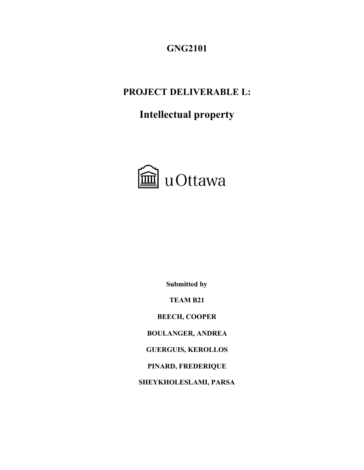**GNG2101**

# **PROJECT DELIVERABLE L:**

# **Intellectual property**



**Submitted by**

**TEAM B21**

**BEECH, COOPER**

**BOULANGER, ANDREA**

**GUERGUIS, KEROLLOS**

**PINARD, FREDERIQUE**

**SHEYKHOLESLAMI, PARSA**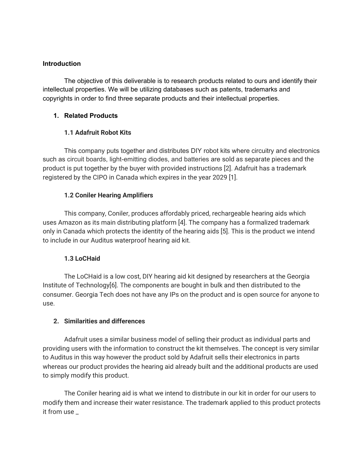#### **Introduction**

The objective of this deliverable is to research products related to ours and identify their intellectual properties. We will be utilizing databases such as patents, trademarks and copyrights in order to find three separate products and their intellectual properties.

#### **1. Related Products**

## **1.1 Adafruit Robot Kits**

This company puts together and distributes DIY robot kits where circuitry and electronics such as circuit boards, light-emitting diodes, and batteries are sold as separate pieces and the product is put together by the buyer with provided instructions [2]. Adafruit has a trademark registered by the CIPO in Canada which expires in the year 2029 [1].

### **1.2 Coniler Hearing Amplifiers**

This company, Coniler, produces affordably priced, rechargeable hearing aids which uses Amazon as its main distributing platform [4]. The company has a formalized trademark only in Canada which protects the identity of the hearing aids [5]. This is the product we intend to include in our Auditus waterproof hearing aid kit.

#### **1.3 LoCHaid**

The LoCHaid is a low cost, DIY hearing aid kit designed by researchers at the Georgia Institute of Technology[6]. The components are bought in bulk and then distributed to the consumer. Georgia Tech does not have any IPs on the product and is open source for anyone to use.

#### **2. Similarities and differences**

Adafruit uses a similar business model of selling their product as individual parts and providing users with the information to construct the kit themselves. The concept is very similar to Auditus in this way however the product sold by Adafruit sells their electronics in parts whereas our product provides the hearing aid already built and the additional products are used to simply modify this product.

The Coniler hearing aid is what we intend to distribute in our kit in order for our users to modify them and increase their water resistance. The trademark applied to this product protects it from use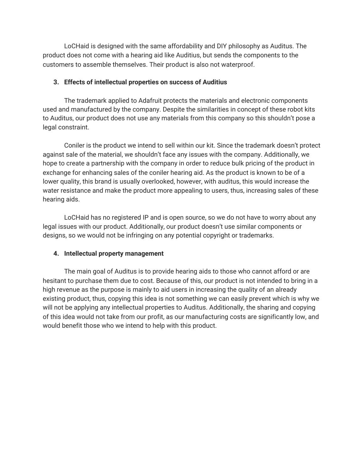LoCHaid is designed with the same affordability and DIY philosophy as Auditus. The product does not come with a hearing aid like Auditius, but sends the components to the customers to assemble themselves. Their product is also not waterproof.

#### **3. Effects of intellectual properties on success of Auditius**

The trademark applied to Adafruit protects the materials and electronic components used and manufactured by the company. Despite the similarities in concept of these robot kits to Auditus, our product does not use any materials from this company so this shouldn't pose a legal constraint.

Coniler is the product we intend to sell within our kit. Since the trademark doesn't protect against sale of the material, we shouldn't face any issues with the company. Additionally, we hope to create a partnership with the company in order to reduce bulk pricing of the product in exchange for enhancing sales of the coniler hearing aid. As the product is known to be of a lower quality, this brand is usually overlooked, however, with auditus, this would increase the water resistance and make the product more appealing to users, thus, increasing sales of these hearing aids.

LoCHaid has no registered IP and is open source, so we do not have to worry about any legal issues with our product. Additionally, our product doesn't use similar components or designs, so we would not be infringing on any potential copyright or trademarks.

#### **4. Intellectual property management**

The main goal of Auditus is to provide hearing aids to those who cannot afford or are hesitant to purchase them due to cost. Because of this, our product is not intended to bring in a high revenue as the purpose is mainly to aid users in increasing the quality of an already existing product, thus, copying this idea is not something we can easily prevent which is why we will not be applying any intellectual properties to Auditus. Additionally, the sharing and copying of this idea would not take from our profit, as our manufacturing costs are significantly low, and would benefit those who we intend to help with this product.